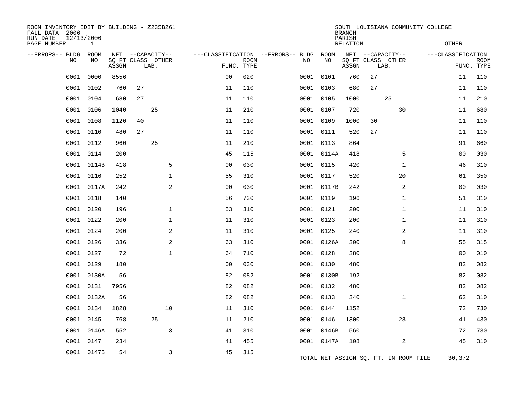| ROOM INVENTORY EDIT BY BUILDING - Z235B261<br>FALL DATA 2006<br>RUN DATE<br>PAGE NUMBER | 12/13/2006<br>$\mathbf{1}$ |       |                                       |                |             |                                         |            | <b>BRANCH</b><br>PARISH<br><b>RELATION</b> |                                       | SOUTH LOUISIANA COMMUNITY COLLEGE     | <b>OTHER</b>      |             |
|-----------------------------------------------------------------------------------------|----------------------------|-------|---------------------------------------|----------------|-------------|-----------------------------------------|------------|--------------------------------------------|---------------------------------------|---------------------------------------|-------------------|-------------|
|                                                                                         |                            |       |                                       |                |             |                                         |            |                                            |                                       |                                       |                   |             |
| --ERRORS-- BLDG<br>NO                                                                   | ROOM<br>NO                 |       | NET --CAPACITY--<br>SQ FT CLASS OTHER |                | <b>ROOM</b> | ---CLASSIFICATION --ERRORS-- BLDG<br>NO | ROOM<br>NO |                                            | NET --CAPACITY--<br>SQ FT CLASS OTHER |                                       | ---CLASSIFICATION | <b>ROOM</b> |
|                                                                                         |                            | ASSGN | LAB.                                  | FUNC. TYPE     |             |                                         |            | ASSGN                                      | LAB.                                  |                                       |                   | FUNC. TYPE  |
| 0001                                                                                    | 0000                       | 8556  |                                       | 0 <sub>0</sub> | 020         | 0001                                    | 0101       | 760                                        | 27                                    |                                       | 11                | 110         |
| 0001                                                                                    | 0102                       | 760   | 27                                    | 11             | 110         | 0001                                    | 0103       | 680                                        | 27                                    |                                       | 11                | 110         |
| 0001                                                                                    | 0104                       | 680   | 27                                    | 11             | 110         | 0001                                    | 0105       | 1000                                       | 25                                    |                                       | 11                | 210         |
| 0001                                                                                    | 0106                       | 1040  | 25                                    | 11             | 210         |                                         | 0001 0107  | 720                                        |                                       | 30                                    | 11                | 680         |
| 0001                                                                                    | 0108                       | 1120  | 40                                    | 11             | 110         |                                         | 0001 0109  | 1000                                       | 30                                    |                                       | 11                | 110         |
| 0001                                                                                    | 0110                       | 480   | 27                                    | 11             | 110         |                                         | 0001 0111  | 520                                        | 27                                    |                                       | 11                | 110         |
| 0001                                                                                    | 0112                       | 960   | 25                                    | 11             | 210         |                                         | 0001 0113  | 864                                        |                                       |                                       | 91                | 660         |
| 0001                                                                                    | 0114                       | 200   |                                       | 45             | 115         |                                         | 0001 0114A | 418                                        |                                       | 5                                     | 00                | 030         |
| 0001                                                                                    | 0114B                      | 418   | 5                                     | 0 <sub>0</sub> | 030         |                                         | 0001 0115  | 420                                        |                                       | $\mathbf{1}$                          | 46                | 310         |
| 0001                                                                                    | 0116                       | 252   | $\mathbf 1$                           | 55             | 310         | 0001                                    | 0117       | 520                                        |                                       | 20                                    | 61                | 350         |
| 0001                                                                                    | 0117A                      | 242   | 2                                     | 0 <sub>0</sub> | 030         |                                         | 0001 0117B | 242                                        |                                       | 2                                     | 00                | 030         |
| 0001                                                                                    | 0118                       | 140   |                                       | 56             | 730         | 0001                                    | 0119       | 196                                        |                                       | $\mathbf{1}$                          | 51                | 310         |
| 0001                                                                                    | 0120                       | 196   | $\mathbf 1$                           | 53             | 310         |                                         | 0001 0121  | 200                                        |                                       | $\mathbf{1}$                          | 11                | 310         |
| 0001                                                                                    | 0122                       | 200   | $\mathbf 1$                           | 11             | 310         |                                         | 0001 0123  | 200                                        |                                       | $\mathbf{1}$                          | 11                | 310         |
| 0001                                                                                    | 0124                       | 200   | 2                                     | 11             | 310         |                                         | 0001 0125  | 240                                        |                                       | 2                                     | 11                | 310         |
| 0001                                                                                    | 0126                       | 336   | 2                                     | 63             | 310         |                                         | 0001 0126A | 300                                        |                                       | 8                                     | 55                | 315         |
| 0001                                                                                    | 0127                       | 72    | $\mathbf{1}$                          | 64             | 710         |                                         | 0001 0128  | 380                                        |                                       |                                       | 0 <sub>0</sub>    | 010         |
| 0001                                                                                    | 0129                       | 180   |                                       | 0 <sub>0</sub> | 030         |                                         | 0001 0130  | 480                                        |                                       |                                       | 82                | 082         |
| 0001                                                                                    | 0130A                      | 56    |                                       | 82             | 082         |                                         | 0001 0130B | 192                                        |                                       |                                       | 82                | 082         |
| 0001                                                                                    | 0131                       | 7956  |                                       | 82             | 082         |                                         | 0001 0132  | 480                                        |                                       |                                       | 82                | 082         |
| 0001                                                                                    | 0132A                      | 56    |                                       | 82             | 082         |                                         | 0001 0133  | 340                                        |                                       | $\mathbf{1}$                          | 62                | 310         |
| 0001                                                                                    | 0134                       | 1828  | 10                                    | 11             | 310         |                                         | 0001 0144  | 1152                                       |                                       |                                       | 72                | 730         |
| 0001                                                                                    | 0145                       | 768   | 25                                    | 11             | 210         |                                         | 0001 0146  | 1300                                       |                                       | 28                                    | 41                | 430         |
| 0001                                                                                    | 0146A                      | 552   | 3                                     | 41             | 310         |                                         | 0001 0146B | 560                                        |                                       |                                       | 72                | 730         |
| 0001                                                                                    | 0147                       | 234   |                                       | 41             | 455         |                                         | 0001 0147A | 108                                        |                                       | 2                                     | 45                | 310         |
|                                                                                         | 0001 0147B                 | 54    | 3                                     | 45             | 315         |                                         |            |                                            |                                       |                                       |                   |             |
|                                                                                         |                            |       |                                       |                |             |                                         |            |                                            |                                       | TOTAL NET ASSIGN SQ. FT. IN ROOM FILE | 30,372            |             |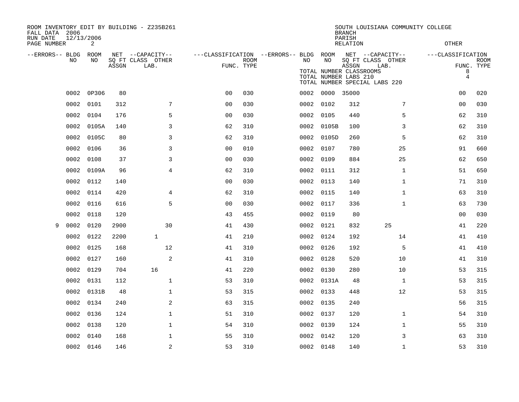| ROOM INVENTORY EDIT BY BUILDING - Z235B261<br>FALL DATA 2006<br>RUN DATE<br>PAGE NUMBER | 12/13/2006<br>2 |       |                                               |                                                      |             |      |                                                        | <b>BRANCH</b><br>PARISH<br>RELATION | SOUTH LOUISIANA COMMUNITY COLLEGE                                              | <b>OTHER</b>                    |                           |  |
|-----------------------------------------------------------------------------------------|-----------------|-------|-----------------------------------------------|------------------------------------------------------|-------------|------|--------------------------------------------------------|-------------------------------------|--------------------------------------------------------------------------------|---------------------------------|---------------------------|--|
| --ERRORS-- BLDG<br><b>NO</b>                                                            | ROOM<br>NO.     | ASSGN | NET --CAPACITY--<br>SQ FT CLASS OTHER<br>LAB. | ---CLASSIFICATION --ERRORS-- BLDG ROOM<br>FUNC. TYPE | <b>ROOM</b> | NO.  | NO<br>TOTAL NUMBER CLASSROOMS<br>TOTAL NUMBER LABS 210 | ASSGN                               | NET --CAPACITY--<br>SQ FT CLASS OTHER<br>LAB.<br>TOTAL NUMBER SPECIAL LABS 220 | ---CLASSIFICATION<br>8<br>$\,4$ | <b>ROOM</b><br>FUNC. TYPE |  |
| 0002                                                                                    | 0P306           | 80    |                                               | 0 <sub>0</sub>                                       | 030         |      | 0002 0000                                              | 35000                               |                                                                                | 00                              | 020                       |  |
| 0002                                                                                    | 0101            | 312   | 7                                             | 0 <sub>0</sub>                                       | 030         |      | 0002 0102                                              | 312                                 | 7                                                                              | 0 <sub>0</sub>                  | 030                       |  |
| 0002                                                                                    | 0104            | 176   | 5                                             | 00                                                   | 030         |      | 0002 0105                                              | 440                                 | 5                                                                              | 62                              | 310                       |  |
| 0002                                                                                    | 0105A           | 140   | 3                                             | 62                                                   | 310         |      | 0002 0105B                                             | 100                                 | 3                                                                              | 62                              | 310                       |  |
| 0002                                                                                    | 0105C           | 80    | 3                                             | 62                                                   | 310         |      | 0002 0105D                                             | 260                                 | 5                                                                              | 62                              | 310                       |  |
| 0002                                                                                    | 0106            | 36    | 3                                             | 0 <sub>0</sub>                                       | 010         |      | 0002 0107                                              | 780                                 | 25                                                                             | 91                              | 660                       |  |
| 0002                                                                                    | 0108            | 37    | 3                                             | 0 <sub>0</sub>                                       | 030         |      | 0002 0109                                              | 884                                 | 25                                                                             | 62                              | 650                       |  |
| 0002                                                                                    | 0109A           | 96    | $\overline{4}$                                | 62                                                   | 310         |      | 0002 0111                                              | 312                                 | $\mathbf{1}$                                                                   | 51                              | 650                       |  |
| 0002                                                                                    | 0112            | 140   |                                               | 0 <sub>0</sub>                                       | 030         |      | 0002 0113                                              | 140                                 | $\mathbf{1}$                                                                   | 71                              | 310                       |  |
| 0002                                                                                    | 0114            | 420   | 4                                             | 62                                                   | 310         |      | 0002 0115                                              | 140                                 | $\mathbf{1}$                                                                   | 63                              | 310                       |  |
| 0002                                                                                    | 0116            | 616   | 5                                             | 0 <sub>0</sub>                                       | 030         |      | 0002 0117                                              | 336                                 | $\mathbf{1}$                                                                   | 63                              | 730                       |  |
| 0002                                                                                    | 0118            | 120   |                                               | 43                                                   | 455         | 0002 | 0119                                                   | 80                                  |                                                                                | 0 <sub>0</sub>                  | 030                       |  |
| 0002<br>9                                                                               | 0120            | 2900  | 30                                            | 41                                                   | 430         |      | 0002 0121                                              | 832                                 | 25                                                                             | 41                              | 220                       |  |
| 0002                                                                                    | 0122            | 2200  | $\mathbf{1}$                                  | 41                                                   | 210         | 0002 | 0124                                                   | 192                                 | 14                                                                             | 41                              | 410                       |  |
| 0002                                                                                    | 0125            | 168   | 12                                            | 41                                                   | 310         |      | 0002 0126                                              | 192                                 | 5                                                                              | 41                              | 410                       |  |
| 0002                                                                                    | 0127            | 160   | 2                                             | 41                                                   | 310         | 0002 | 0128                                                   | 520                                 | 10                                                                             | 41                              | 310                       |  |
| 0002                                                                                    | 0129            | 704   | 16                                            | 41                                                   | 220         |      | 0002 0130                                              | 280                                 | 10                                                                             | 53                              | 315                       |  |
| 0002                                                                                    | 0131            | 112   | $\mathbf{1}$                                  | 53                                                   | 310         |      | 0002 0131A                                             | 48                                  | $\mathbf{1}$                                                                   | 53                              | 315                       |  |
| 0002                                                                                    | 0131B           | 48    | $\mathbf 1$                                   | 53                                                   | 315         |      | 0002 0133                                              | 448                                 | 12                                                                             | 53                              | 315                       |  |
| 0002                                                                                    | 0134            | 240   | 2                                             | 63                                                   | 315         | 0002 | 0135                                                   | 240                                 |                                                                                | 56                              | 315                       |  |
| 0002                                                                                    | 0136            | 124   | $\mathbf 1$                                   | 51                                                   | 310         |      | 0002 0137                                              | 120                                 | $\mathbf{1}$                                                                   | 54                              | 310                       |  |
| 0002                                                                                    | 0138            | 120   | $\mathbf 1$                                   | 54                                                   | 310         | 0002 | 0139                                                   | 124                                 | $\mathbf{1}$                                                                   | 55                              | 310                       |  |
| 0002                                                                                    | 0140            | 168   | $\mathbf 1$                                   | 55                                                   | 310         | 0002 | 0142                                                   | 120                                 | 3                                                                              | 63                              | 310                       |  |
|                                                                                         | 0002 0146       | 146   | 2                                             | 53                                                   | 310         |      | 0002 0148                                              | 140                                 | $\mathbf{1}$                                                                   | 53                              | 310                       |  |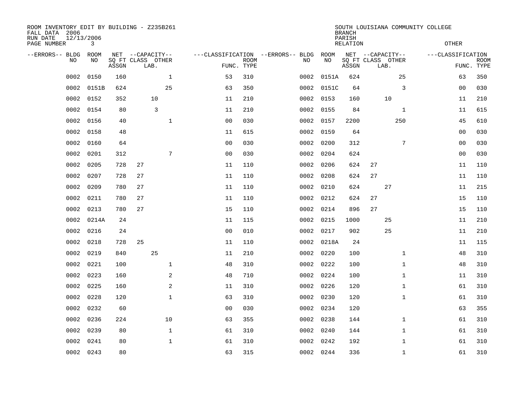| ROOM INVENTORY EDIT BY BUILDING - Z235B261<br>FALL DATA 2006<br>RUN DATE<br>PAGE NUMBER | 12/13/2006 | 3           |       |                                               |              |                                   |                           | SOUTH LOUISIANA COMMUNITY COLLEGE<br><b>BRANCH</b><br>PARISH<br><b>RELATION</b> |           |            |       |                                               |              | <b>OTHER</b>      |                           |  |
|-----------------------------------------------------------------------------------------|------------|-------------|-------|-----------------------------------------------|--------------|-----------------------------------|---------------------------|---------------------------------------------------------------------------------|-----------|------------|-------|-----------------------------------------------|--------------|-------------------|---------------------------|--|
| --ERRORS-- BLDG                                                                         | <b>NO</b>  | ROOM<br>NO. | ASSGN | NET --CAPACITY--<br>SQ FT CLASS OTHER<br>LAB. |              | ---CLASSIFICATION --ERRORS-- BLDG | <b>ROOM</b><br>FUNC. TYPE |                                                                                 | NO        | ROOM<br>NO | ASSGN | NET --CAPACITY--<br>SQ FT CLASS OTHER<br>LAB. |              | ---CLASSIFICATION | <b>ROOM</b><br>FUNC. TYPE |  |
|                                                                                         | 0002       | 0150        | 160   |                                               | $\mathbf{1}$ | 53                                | 310                       |                                                                                 | 0002      | 0151A      | 624   |                                               | 25           | 63                | 350                       |  |
|                                                                                         | 0002       | 0151B       | 624   |                                               | 25           | 63                                | 350                       |                                                                                 | 0002      | 0151C      | 64    |                                               | 3            | 0 <sub>0</sub>    | 030                       |  |
|                                                                                         | 0002       | 0152        | 352   | 10                                            |              | 11                                | 210                       |                                                                                 | 0002      | 0153       | 160   | 10                                            |              | 11                | 210                       |  |
|                                                                                         | 0002       | 0154        | 80    | 3                                             |              | 11                                | 210                       |                                                                                 | 0002      | 0155       | 84    |                                               | $\mathbf{1}$ | 11                | 615                       |  |
|                                                                                         | 0002       | 0156        | 40    |                                               | $\mathbf{1}$ | 0 <sub>0</sub>                    | 030                       |                                                                                 | 0002      | 0157       | 2200  |                                               | 250          | 45                | 610                       |  |
|                                                                                         | 0002       | 0158        | 48    |                                               |              | 11                                | 615                       |                                                                                 |           | 0002 0159  | 64    |                                               |              | 00                | 030                       |  |
|                                                                                         | 0002       | 0160        | 64    |                                               |              | 0 <sub>0</sub>                    | 030                       |                                                                                 | 0002      | 0200       | 312   |                                               | 7            | 00                | 030                       |  |
|                                                                                         | 0002       | 0201        | 312   |                                               | 7            | 0 <sub>0</sub>                    | 030                       |                                                                                 | 0002      | 0204       | 624   |                                               |              | 00                | 030                       |  |
|                                                                                         | 0002       | 0205        | 728   | 27                                            |              | 11                                | 110                       |                                                                                 | 0002      | 0206       | 624   | 27                                            |              | 11                | 110                       |  |
|                                                                                         | 0002       | 0207        | 728   | 27                                            |              | 11                                | 110                       |                                                                                 | 0002      | 0208       | 624   | 27                                            |              | 11                | 110                       |  |
|                                                                                         | 0002       | 0209        | 780   | 27                                            |              | 11                                | 110                       |                                                                                 | 0002      | 0210       | 624   | 27                                            |              | 11                | 215                       |  |
|                                                                                         | 0002       | 0211        | 780   | 27                                            |              | 11                                | 110                       |                                                                                 | 0002      | 0212       | 624   | 27                                            |              | 15                | 110                       |  |
|                                                                                         | 0002       | 0213        | 780   | 27                                            |              | 15                                | 110                       |                                                                                 | 0002      | 0214       | 896   | 27                                            |              | 15                | 110                       |  |
|                                                                                         | 0002       | 0214A       | 24    |                                               |              | 11                                | 115                       |                                                                                 |           | 0002 0215  | 1000  | 25                                            |              | 11                | 210                       |  |
|                                                                                         | 0002       | 0216        | 24    |                                               |              | 0 <sub>0</sub>                    | 010                       |                                                                                 | 0002      | 0217       | 902   | 25                                            |              | 11                | 210                       |  |
|                                                                                         | 0002       | 0218        | 728   | 25                                            |              | 11                                | 110                       |                                                                                 |           | 0002 0218A | 24    |                                               |              | 11                | 115                       |  |
|                                                                                         | 0002       | 0219        | 840   | 25                                            |              | 11                                | 210                       |                                                                                 | 0002 0220 |            | 100   |                                               | $\mathbf{1}$ | 48                | 310                       |  |
|                                                                                         | 0002       | 0221        | 100   |                                               | $\mathbf{1}$ | 48                                | 310                       |                                                                                 | 0002      | 0222       | 100   |                                               | $\mathbf{1}$ | 48                | 310                       |  |
|                                                                                         | 0002       | 0223        | 160   |                                               | 2            | 48                                | 710                       |                                                                                 | 0002 0224 |            | 100   |                                               | $\mathbf{1}$ | 11                | 310                       |  |
|                                                                                         | 0002       | 0225        | 160   |                                               | 2            | 11                                | 310                       |                                                                                 | 0002 0226 |            | 120   |                                               | $\mathbf{1}$ | 61                | 310                       |  |
|                                                                                         | 0002       | 0228        | 120   |                                               | $\mathbf 1$  | 63                                | 310                       |                                                                                 |           | 0002 0230  | 120   |                                               | $\mathbf{1}$ | 61                | 310                       |  |
|                                                                                         | 0002       | 0232        | 60    |                                               |              | 0 <sub>0</sub>                    | 030                       |                                                                                 | 0002 0234 |            | 120   |                                               |              | 63                | 355                       |  |
|                                                                                         | 0002       | 0236        | 224   |                                               | 10           | 63                                | 355                       |                                                                                 | 0002 0238 |            | 144   |                                               | $\mathbf{1}$ | 61                | 310                       |  |
|                                                                                         | 0002       | 0239        | 80    |                                               | $\mathbf{1}$ | 61                                | 310                       |                                                                                 | 0002      | 0240       | 144   |                                               | $\mathbf{1}$ | 61                | 310                       |  |
|                                                                                         | 0002       | 0241        | 80    |                                               | $\mathbf 1$  | 61                                | 310                       |                                                                                 | 0002      | 0242       | 192   |                                               | $\mathbf{1}$ | 61                | 310                       |  |
|                                                                                         | 0002       | 0243        | 80    |                                               |              | 63                                | 315                       |                                                                                 | 0002 0244 |            | 336   |                                               | $\mathbf{1}$ | 61                | 310                       |  |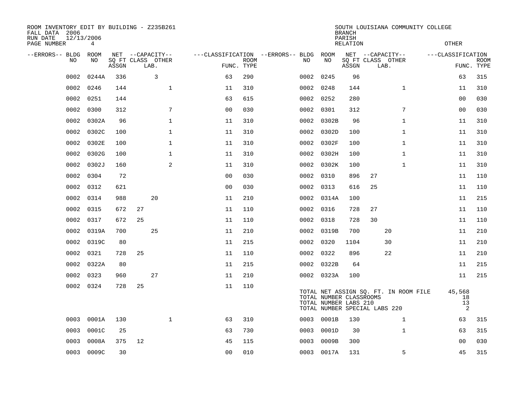| ROOM INVENTORY EDIT BY BUILDING - Z235B261<br>FALL DATA 2006<br>RUN DATE<br>12/13/2006<br>PAGE NUMBER |            |       |    |                                               |                                   |                           |           | <b>BRANCH</b><br>PARISH<br><b>RELATION</b>       |       | SOUTH LOUISIANA COMMUNITY COLLEGE<br><b>OTHER</b>                      |                |                   |                                      |                           |
|-------------------------------------------------------------------------------------------------------|------------|-------|----|-----------------------------------------------|-----------------------------------|---------------------------|-----------|--------------------------------------------------|-------|------------------------------------------------------------------------|----------------|-------------------|--------------------------------------|---------------------------|
| --ERRORS-- BLDG<br>NO                                                                                 | ROOM<br>NO | ASSGN |    | NET --CAPACITY--<br>SQ FT CLASS OTHER<br>LAB. | ---CLASSIFICATION --ERRORS-- BLDG | <b>ROOM</b><br>FUNC. TYPE | NO        | ROOM<br>NO                                       | ASSGN | NET --CAPACITY--<br>SQ FT CLASS OTHER<br>LAB.                          |                | ---CLASSIFICATION |                                      | <b>ROOM</b><br>FUNC. TYPE |
| 0002                                                                                                  | 0244A      | 336   |    | 3                                             | 63                                | 290                       | 0002      | 0245                                             | 96    |                                                                        |                |                   | 63                                   | 315                       |
| 0002                                                                                                  | 0246       | 144   |    | $\mathbf 1$                                   | 11                                | 310                       | 0002      | 0248                                             | 144   |                                                                        | $\mathbf{1}$   |                   | 11                                   | 310                       |
| 0002                                                                                                  | 0251       | 144   |    |                                               | 63                                | 615                       | 0002      | 0252                                             | 280   |                                                                        |                |                   | 0 <sub>0</sub>                       | 030                       |
| 0002                                                                                                  | 0300       | 312   |    | 7                                             | 0 <sub>0</sub>                    | 030                       | 0002      | 0301                                             | 312   |                                                                        | $\overline{7}$ |                   | 00                                   | 030                       |
| 0002                                                                                                  | 0302A      | 96    |    | $\mathbf{1}$                                  | 11                                | 310                       | 0002      | 0302B                                            | 96    |                                                                        | $\mathbf{1}$   |                   | 11                                   | 310                       |
| 0002                                                                                                  | 0302C      | 100   |    | $\mathbf 1$                                   | 11                                | 310                       |           | 0002 0302D                                       | 100   |                                                                        | $\mathbf{1}$   |                   | 11                                   | 310                       |
| 0002                                                                                                  | 0302E      | 100   |    | $\mathbf{1}$                                  | 11                                | 310                       | 0002      | 0302F                                            | 100   |                                                                        | $\mathbf{1}$   |                   | 11                                   | 310                       |
| 0002                                                                                                  | 0302G      | 100   |    | $\mathbf{1}$                                  | 11                                | 310                       |           | 0002 0302H                                       | 100   |                                                                        | $\mathbf{1}$   |                   | 11                                   | 310                       |
| 0002                                                                                                  | 0302J      | 160   |    | 2                                             | 11                                | 310                       | 0002      | 0302K                                            | 100   |                                                                        | $\mathbf{1}$   |                   | 11                                   | 310                       |
| 0002                                                                                                  | 0304       | 72    |    |                                               | 0 <sub>0</sub>                    | 030                       |           | 0002 0310                                        | 896   | 27                                                                     |                |                   | 11                                   | 110                       |
| 0002                                                                                                  | 0312       | 621   |    |                                               | 0 <sub>0</sub>                    | 030                       | 0002 0313 |                                                  | 616   | 25                                                                     |                |                   | 11                                   | 110                       |
| 0002                                                                                                  | 0314       | 988   |    | 20                                            | 11                                | 210                       |           | 0002 0314A                                       | 100   |                                                                        |                |                   | 11                                   | 215                       |
| 0002                                                                                                  | 0315       | 672   | 27 |                                               | 11                                | 110                       | 0002      | 0316                                             | 728   | 27                                                                     |                |                   | 11                                   | 110                       |
| 0002                                                                                                  | 0317       | 672   | 25 |                                               | 11                                | 110                       |           | 0002 0318                                        | 728   | 30                                                                     |                |                   | 11                                   | 110                       |
| 0002                                                                                                  | 0319A      | 700   |    | 25                                            | 11                                | 210                       |           | 0002 0319B                                       | 700   | 20                                                                     |                |                   | 11                                   | 210                       |
| 0002                                                                                                  | 0319C      | 80    |    |                                               | 11                                | 215                       | 0002 0320 |                                                  | 1104  | 30                                                                     |                |                   | 11                                   | 210                       |
| 0002                                                                                                  | 0321       | 728   | 25 |                                               | 11                                | 110                       |           | 0002 0322                                        | 896   | 22                                                                     |                |                   | 11                                   | 210                       |
| 0002                                                                                                  | 0322A      | 80    |    |                                               | 11                                | 215                       |           | 0002 0322B                                       | 64    |                                                                        |                |                   | 11                                   | 215                       |
| 0002                                                                                                  | 0323       | 960   |    | 27                                            | 11                                | 210                       |           | 0002 0323A                                       | 100   |                                                                        |                |                   | 11                                   | 215                       |
| 0002                                                                                                  | 0324       | 728   | 25 |                                               | 11                                | 110                       |           | TOTAL NUMBER CLASSROOMS<br>TOTAL NUMBER LABS 210 |       | TOTAL NET ASSIGN SQ. FT. IN ROOM FILE<br>TOTAL NUMBER SPECIAL LABS 220 |                |                   | 45,568<br>18<br>13<br>$\overline{a}$ |                           |
| 0003                                                                                                  | 0001A      | 130   |    | $\mathbf{1}$                                  | 63                                | 310                       | 0003      | 0001B                                            | 130   |                                                                        | $\mathbf{1}$   |                   | 63                                   | 315                       |
| 0003                                                                                                  | 0001C      | 25    |    |                                               | 63                                | 730                       | 0003      | 0001D                                            | 30    |                                                                        | $\mathbf{1}$   |                   | 63                                   | 315                       |
| 0003                                                                                                  | 0008A      | 375   | 12 |                                               | 45                                | 115                       | 0003      | 0009B                                            | 300   |                                                                        |                |                   | 0 <sub>0</sub>                       | 030                       |
|                                                                                                       | 0003 0009C | 30    |    |                                               | 0 <sub>0</sub>                    | 010                       |           | 0003 0017A                                       | 131   |                                                                        | 5              |                   | 45                                   | 315                       |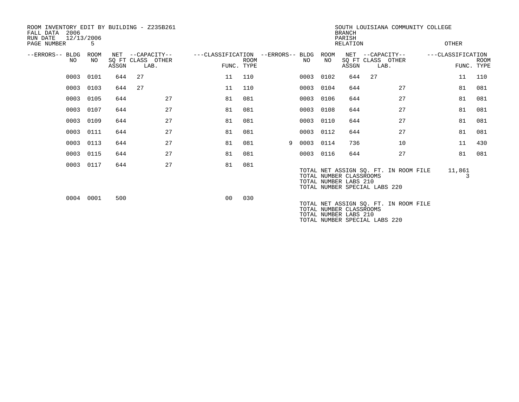| FALL DATA<br>RUN DATE<br>PAGE NUMBER | 2006<br>12/13/2006 | 5          |       | ROOM INVENTORY EDIT BY BUILDING - Z235B261    |                                                 |             |   |      |             | <b>BRANCH</b><br>PARISH<br><b>RELATION</b>       | SOUTH LOUISIANA COMMUNITY COLLEGE                                      |                   | OTHER       |             |
|--------------------------------------|--------------------|------------|-------|-----------------------------------------------|-------------------------------------------------|-------------|---|------|-------------|--------------------------------------------------|------------------------------------------------------------------------|-------------------|-------------|-------------|
| --ERRORS-- BLDG                      | NO.                | ROOM<br>NO | ASSGN | NET --CAPACITY--<br>SQ FT CLASS OTHER<br>LAB. | ---CLASSIFICATION --ERRORS-- BLDG<br>FUNC. TYPE | <b>ROOM</b> |   | NO.  | ROOM<br>NO. | ASSGN                                            | NET --CAPACITY--<br>SO FT CLASS OTHER<br>LAB.                          | ---CLASSIFICATION | FUNC. TYPE  | <b>ROOM</b> |
|                                      |                    | 0003 0101  | 644   | 27                                            | 11                                              | 110         |   |      | 0003 0102   | 644                                              | 27                                                                     |                   | 11          | 110         |
|                                      | 0003               | 0103       | 644   | 27                                            | 11                                              | 110         |   | 0003 | 0104        | 644                                              | 27                                                                     |                   | 81          | 081         |
|                                      | 0003               | 0105       | 644   | 27                                            | 81                                              | 081         |   | 0003 | 0106        | 644                                              | 27                                                                     |                   | 81          | 081         |
|                                      | 0003               | 0107       | 644   | 27                                            | 81                                              | 081         |   | 0003 | 0108        | 644                                              | 27                                                                     |                   | 81          | 081         |
|                                      | 0003               | 0109       | 644   | 27                                            | 81                                              | 081         |   | 0003 | 0110        | 644                                              | 27                                                                     |                   | 81          | 081         |
|                                      | 0003               | 0111       | 644   | 27                                            | 81                                              | 081         |   | 0003 | 0112        | 644                                              | 27                                                                     |                   | 81          | 081         |
|                                      | 0003               | 0113       | 644   | 27                                            | 81                                              | 081         | 9 | 0003 | 0114        | 736                                              | 10                                                                     |                   | 11          | 430         |
|                                      |                    | 0003 0115  | 644   | 27                                            | 81                                              | 081         |   |      | 0003 0116   | 644                                              | 27                                                                     |                   | 81          | 081         |
|                                      |                    | 0003 0117  | 644   | 27                                            | 81                                              | 081         |   |      |             | TOTAL NUMBER CLASSROOMS<br>TOTAL NUMBER LABS 210 | TOTAL NET ASSIGN SQ. FT. IN ROOM FILE<br>TOTAL NUMBER SPECIAL LABS 220 |                   | 11,861<br>3 |             |
|                                      |                    | 0004 0001  | 500   |                                               | 0 <sub>0</sub>                                  | 030         |   |      |             | TOTAL NUMBER CLASSROOMS<br>TOTAL NUMBER LABS 210 | TOTAL NET ASSIGN SQ. FT. IN ROOM FILE<br>TOTAL NUMBER SPECIAL LABS 220 |                   |             |             |